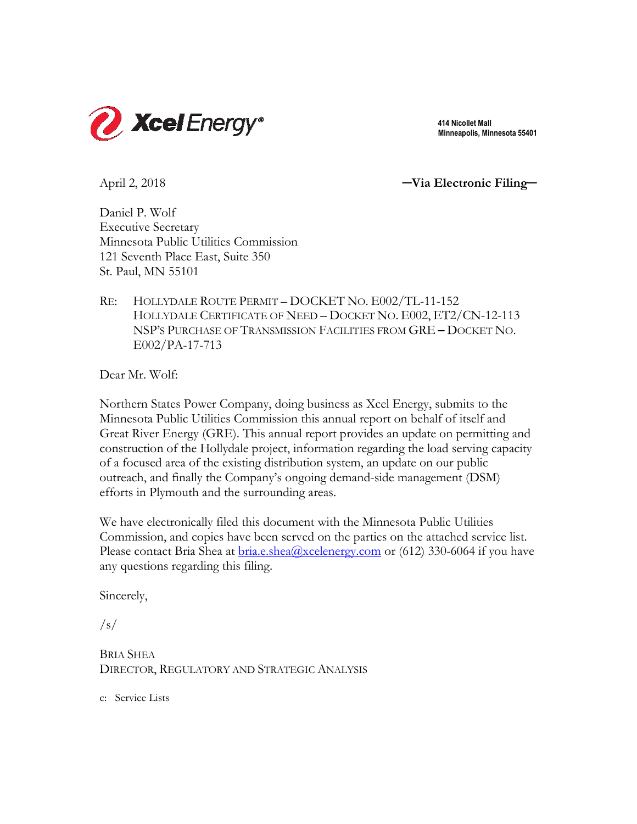

 **414 Nicollet Mall Minneapolis, Minnesota 55401**

April 2, 2018 **─Via Electronic Filing─**

Daniel P. Wolf Executive Secretary Minnesota Public Utilities Commission 121 Seventh Place East, Suite 350 St. Paul, MN 55101

RE: HOLLYDALE ROUTE PERMIT – DOCKET NO. E002/TL-11-152 HOLLYDALE CERTIFICATE OF NEED – DOCKET NO. E002, ET2/CN-12-113 NSP'S PURCHASE OF TRANSMISSION FACILITIES FROM GRE **–** DOCKET NO. E002/PA-17-713

Dear Mr. Wolf:

Northern States Power Company, doing business as Xcel Energy, submits to the Minnesota Public Utilities Commission this annual report on behalf of itself and Great River Energy (GRE). This annual report provides an update on permitting and construction of the Hollydale project, information regarding the load serving capacity of a focused area of the existing distribution system, an update on our public outreach, and finally the Company's ongoing demand-side management (DSM) efforts in Plymouth and the surrounding areas.

We have electronically filed this document with the Minnesota Public Utilities Commission, and copies have been served on the parties on the attached service list. Please contact Bria Shea at **bria.e.shea@xcelenergy.com** or (612) 330-6064 if you have any questions regarding this filing.

Sincerely,

 $\sqrt{s}$ 

BRIA SHEA DIRECTOR, REGULATORY AND STRATEGIC ANALYSIS

c: Service Lists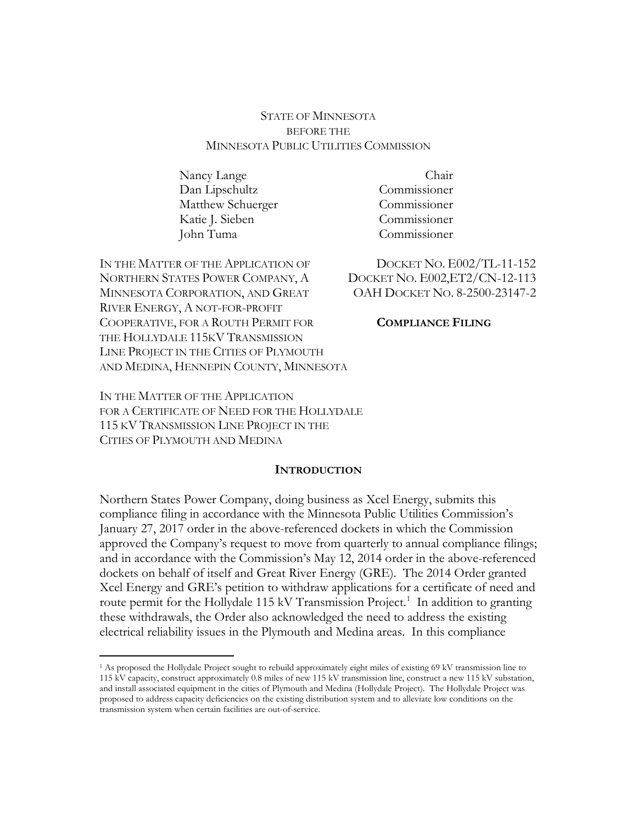## STATE OF MINNESOTA BEFORE THE MINNESOTA PUBLIC UTILITIES COMMISSION

Nancy Lange Dan Lipschultz Matthew Schuerger Katie J. Sieben John Tuma

IN THE MATTER OF THE APPLICATION OF DOCKET NO. E002/TL-11-152 NORTHERN STATES POWER COMPANY, A DOCKET NO. E002,ET2/CN-12-113 MINNESOTA CORPORATION, AND GREAT OAH DOCKET NO. 8-2500-23147-2 RIVER ENERGY, A NOT-FOR-PROFIT COOPERATIVE, FOR A ROUTH PERMIT FOR **COMPLIANCE FILING** THE HOLLYDALE 115KV TRANSMISSION LINE PROJECT IN THE CITIES OF PLYMOUTH AND MEDINA, HENNEPIN COUNTY, MINNESOTA

Chair Commissioner Commissioner Commissioner Commissioner

IN THE MATTER OF THE APPLICATION FOR A CERTIFICATE OF NEED FOR THE HOLLYDALE 115 KV TRANSMISSION LINE PROJECT IN THE CITIES OF PLYMOUTH AND MEDINA

 $\overline{a}$ 

#### **INTRODUCTION**

Northern States Power Company, doing business as Xcel Energy, submits this compliance filing in accordance with the Minnesota Public Utilities Commission's January 27, 2017 order in the above-referenced dockets in which the Commission approved the Company's request to move from quarterly to annual compliance filings; and in accordance with the Commission's May 12, 2014 order in the above-referenced dockets on behalf of itself and Great River Energy (GRE). The 2014 Order granted Xcel Energy and GRE's petition to withdraw applications for a certificate of need and route permit for the Hollydale 115 kV Transmission Project.<sup>1</sup> In addition to granting these withdrawals, the Order also acknowledged the need to address the existing electrical reliability issues in the Plymouth and Medina areas. In this compliance

<sup>&</sup>lt;sup>1</sup> As proposed the Hollydale Project sought to rebuild approximately eight miles of existing 69 kV transmission line to 115 kV capacity, construct approximately 0.8 miles of new 115 kV transmission line, construct a new 115 kV substation, and install associated equipment in the cities of Plymouth and Medina (Hollydale Project). The Hollydale Project was proposed to address capacity deficiencies on the existing distribution system and to alleviate low conditions on the transmission system when certain facilities are out-of-service.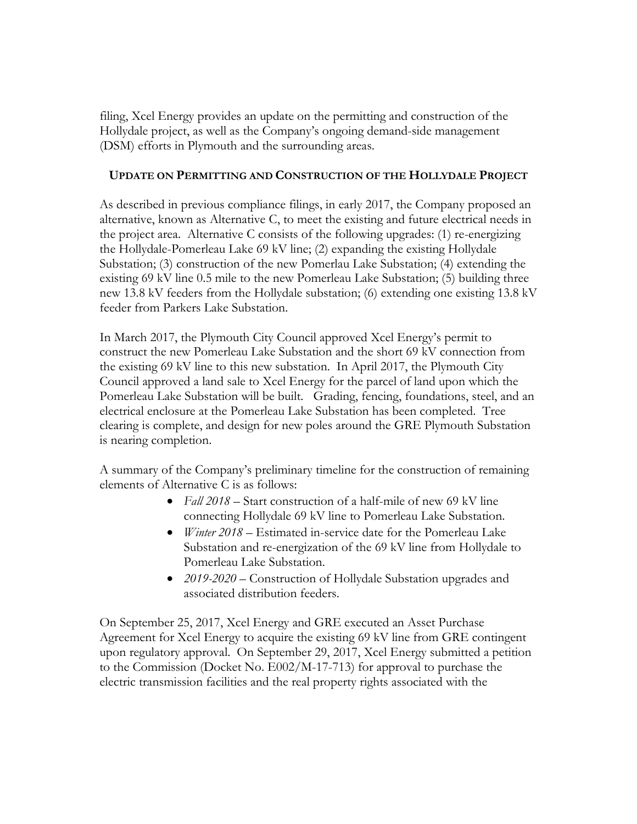filing, Xcel Energy provides an update on the permitting and construction of the Hollydale project, as well as the Company's ongoing demand-side management (DSM) efforts in Plymouth and the surrounding areas.

## **UPDATE ON PERMITTING AND CONSTRUCTION OF THE HOLLYDALE PROJECT**

As described in previous compliance filings, in early 2017, the Company proposed an alternative, known as Alternative C, to meet the existing and future electrical needs in the project area. Alternative C consists of the following upgrades: (1) re-energizing the Hollydale-Pomerleau Lake 69 kV line; (2) expanding the existing Hollydale Substation; (3) construction of the new Pomerlau Lake Substation; (4) extending the existing 69 kV line 0.5 mile to the new Pomerleau Lake Substation; (5) building three new 13.8 kV feeders from the Hollydale substation; (6) extending one existing 13.8 kV feeder from Parkers Lake Substation.

In March 2017, the Plymouth City Council approved Xcel Energy's permit to construct the new Pomerleau Lake Substation and the short 69 kV connection from the existing 69 kV line to this new substation. In April 2017, the Plymouth City Council approved a land sale to Xcel Energy for the parcel of land upon which the Pomerleau Lake Substation will be built. Grading, fencing, foundations, steel, and an electrical enclosure at the Pomerleau Lake Substation has been completed. Tree clearing is complete, and design for new poles around the GRE Plymouth Substation is nearing completion.

A summary of the Company's preliminary timeline for the construction of remaining elements of Alternative C is as follows:

- *Fall 2018 –* Start construction of a half-mile of new 69 kV line connecting Hollydale 69 kV line to Pomerleau Lake Substation.
- *Winter 2018 –* Estimated in-service date for the Pomerleau Lake Substation and re-energization of the 69 kV line from Hollydale to Pomerleau Lake Substation.
- *2019-2020 –* Construction of Hollydale Substation upgrades and associated distribution feeders.

On September 25, 2017, Xcel Energy and GRE executed an Asset Purchase Agreement for Xcel Energy to acquire the existing 69 kV line from GRE contingent upon regulatory approval. On September 29, 2017, Xcel Energy submitted a petition to the Commission (Docket No. E002/M-17-713) for approval to purchase the electric transmission facilities and the real property rights associated with the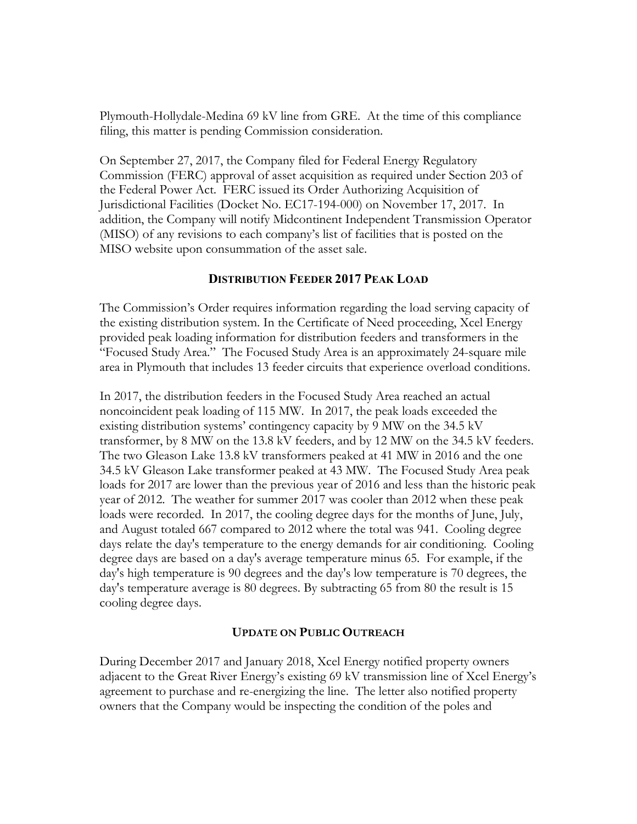Plymouth-Hollydale-Medina 69 kV line from GRE. At the time of this compliance filing, this matter is pending Commission consideration.

On September 27, 2017, the Company filed for Federal Energy Regulatory Commission (FERC) approval of asset acquisition as required under Section 203 of the Federal Power Act. FERC issued its Order Authorizing Acquisition of Jurisdictional Facilities (Docket No. EC17-194-000) on November 17, 2017. In addition, the Company will notify Midcontinent Independent Transmission Operator (MISO) of any revisions to each company's list of facilities that is posted on the MISO website upon consummation of the asset sale.

## **DISTRIBUTION FEEDER 2017 PEAK LOAD**

The Commission's Order requires information regarding the load serving capacity of the existing distribution system. In the Certificate of Need proceeding, Xcel Energy provided peak loading information for distribution feeders and transformers in the "Focused Study Area." The Focused Study Area is an approximately 24-square mile area in Plymouth that includes 13 feeder circuits that experience overload conditions.

In 2017, the distribution feeders in the Focused Study Area reached an actual noncoincident peak loading of 115 MW. In 2017, the peak loads exceeded the existing distribution systems' contingency capacity by 9 MW on the 34.5 kV transformer, by 8 MW on the 13.8 kV feeders, and by 12 MW on the 34.5 kV feeders. The two Gleason Lake 13.8 kV transformers peaked at 41 MW in 2016 and the one 34.5 kV Gleason Lake transformer peaked at 43 MW. The Focused Study Area peak loads for 2017 are lower than the previous year of 2016 and less than the historic peak year of 2012. The weather for summer 2017 was cooler than 2012 when these peak loads were recorded. In 2017, the cooling degree days for the months of June, July, and August totaled 667 compared to 2012 where the total was 941. Cooling degree days relate the day's temperature to the energy demands for air conditioning. Cooling degree days are based on a day's average temperature minus 65. For example, if the day's high temperature is 90 degrees and the day's low temperature is 70 degrees, the day's temperature average is 80 degrees. By subtracting 65 from 80 the result is 15 cooling degree days.

## **UPDATE ON PUBLIC OUTREACH**

During December 2017 and January 2018, Xcel Energy notified property owners adjacent to the Great River Energy's existing 69 kV transmission line of Xcel Energy's agreement to purchase and re-energizing the line. The letter also notified property owners that the Company would be inspecting the condition of the poles and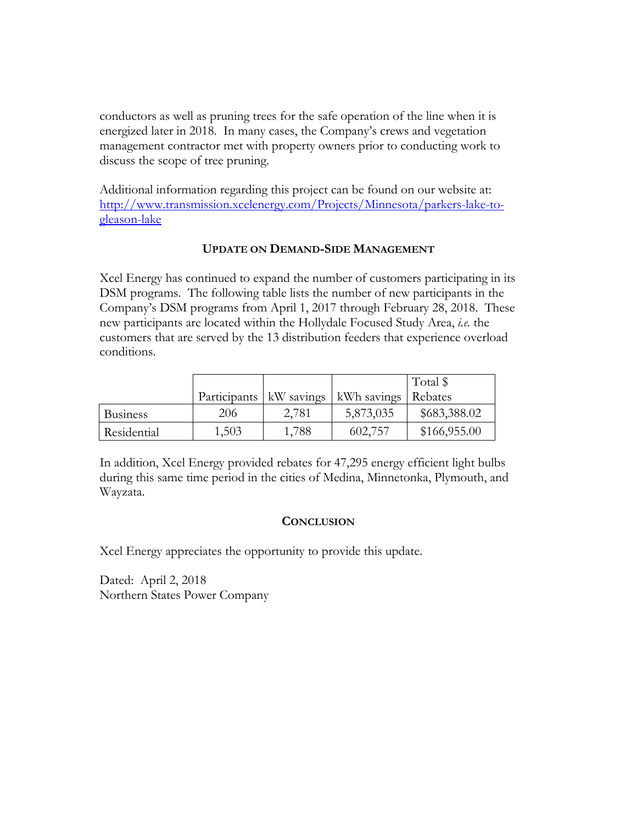conductors as well as pruning trees for the safe operation of the line when it is energized later in 2018. In many cases, the Company's crews and vegetation management contractor met with property owners prior to conducting work to discuss the scope of tree pruning.

Additional information regarding this project can be found on our website at: http://www.transmission.xcelenergy.com/Projects/Minnesota/parkers-lake-togleason-lake

## **UPDATE ON DEMAND-SIDE MANAGEMENT**

Xcel Energy has continued to expand the number of customers participating in its DSM programs. The following table lists the number of new participants in the Company's DSM programs from April 1, 2017 through February 28, 2018. These new participants are located within the Hollydale Focused Study Area, *i.e.* the customers that are served by the 13 distribution feeders that experience overload conditions.

|                 |                           |       |                       | Total \$     |
|-----------------|---------------------------|-------|-----------------------|--------------|
|                 | Participants   kW savings |       | kWh savings   Rebates |              |
| <b>Business</b> | 206                       | 2,781 | 5,873,035             | \$683,388.02 |
| Residential     | 1,503                     | 1,788 | 602,757               | \$166,955.00 |

In addition, Xcel Energy provided rebates for 47,295 energy efficient light bulbs during this same time period in the cities of Medina, Minnetonka, Plymouth, and Wayzata.

#### **CONCLUSION**

Xcel Energy appreciates the opportunity to provide this update.

Dated: April 2, 2018 Northern States Power Company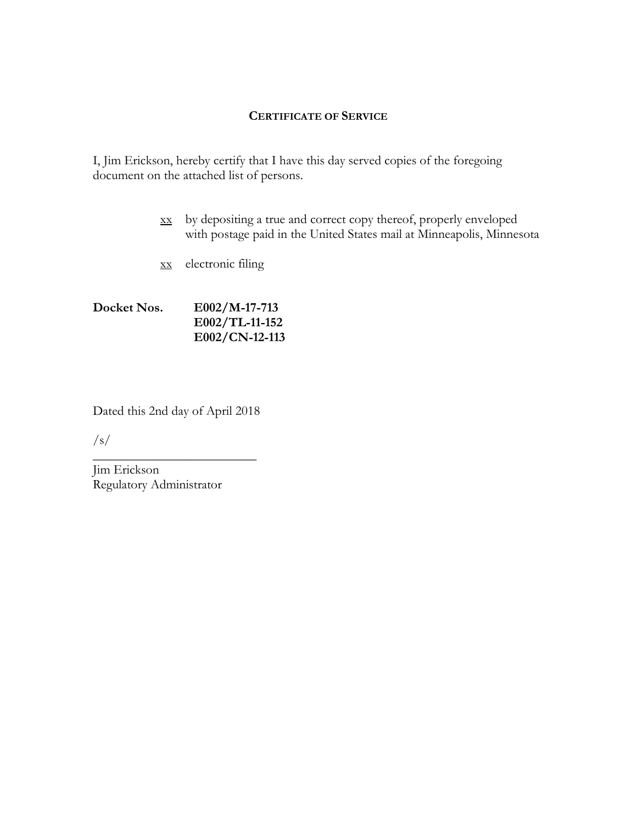#### **CERTIFICATE OF SERVICE**

I, Jim Erickson, hereby certify that I have this day served copies of the foregoing document on the attached list of persons.

- xx by depositing a true and correct copy thereof, properly enveloped with postage paid in the United States mail at Minneapolis, Minnesota
- xx electronic filing

# **Docket Nos. E002/M-17-713 E002/TL-11-152 E002/CN-12-113**

Dated this 2nd day of April 2018

\_\_\_\_\_\_\_\_\_\_\_\_\_\_\_\_\_\_\_\_\_\_\_\_\_

 $\sqrt{s/2}$ 

Jim Erickson Regulatory Administrator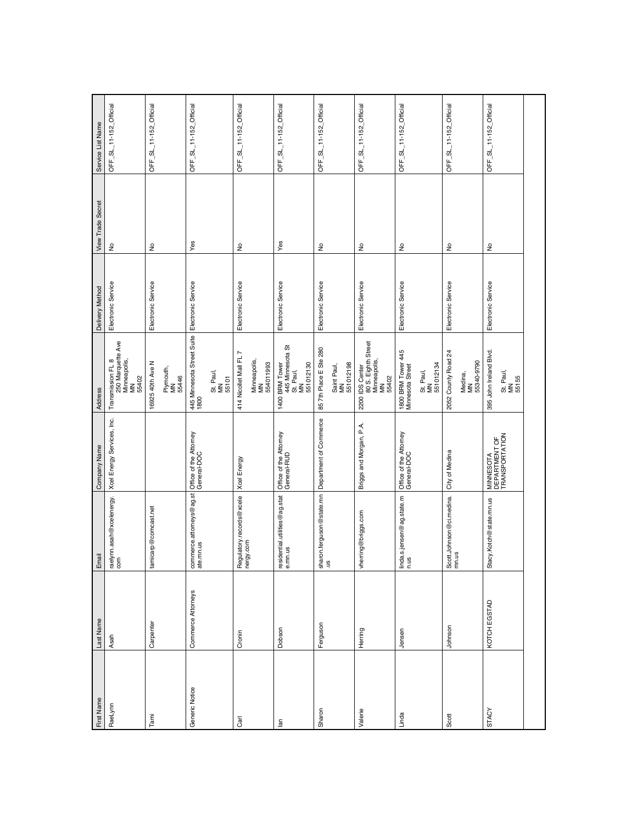| First Name     | Last Name          | Email                                    | Company Name                                 | Address                                                                    | Delivery Method    | <b>View Trade Secret</b> | Service List Name      |
|----------------|--------------------|------------------------------------------|----------------------------------------------|----------------------------------------------------------------------------|--------------------|--------------------------|------------------------|
| RaeLynn        | Asah               | raelynn.asah@xcelenergy.<br>com          | Xcel Energy Services, Inc.                   | 250 Marquette Ave<br>Transmission FL 8<br>Minneapolis,<br>MN<br>55402      | Electronic Service | $\epsilon$               | OFF_SL_11-152_Official |
| Tami           | Carpenter          | tamicarp@comcast.net                     |                                              | 16925 40th Ave N                                                           | Electronic Service | $\hat{\mathsf{z}}$       | OFF_SL_11-152_Official |
| Generic Notice | Commerce Attorneys |                                          |                                              | Plymouth,<br>MN<br>55446                                                   | Electronic Service | Yes                      | OFF_SL_11-152_Official |
|                |                    | commerce.attorneys@ag.st<br>ate.mn.us    | Office of the Attorney<br>General-DOC        | 445 Minnesota Street Suite<br>1800<br>St. Paul,<br>MN<br>55101             |                    |                          |                        |
| Carl           | Cronin             | Regulatory.records@xcele<br>nergy.com    | Xoel Energy                                  | 414 Nicollet Mall FL 7<br>Minneapolis,<br>MN<br>554011993                  | Electronic Service | ş                        | OFF_SL_11-152_Official |
| $\Xi$          | Dobson             | residential.utilities@ag.stat<br>e.mn.us | Office of the Attorney<br>General-RUD        | 1400 BRM Tower<br>445 Minnesota St<br>St. Paul,<br>MN<br>551012130         | Electronic Service | Yes                      | OFF_SL_11-152_Official |
| Sharon         | Ferguson           | sharon.ferguson@state.mn<br>.us          | Department of Commerce                       | 85 7th Place E Ste 280<br>Saint Paul,<br>MN<br>551012198                   | Electronic Service | ş                        | OFF_SL_11-152_Official |
| Valerie        | Herring            | vherring@briggs.com                      | Briggs and Morgan, P.A.                      | 0 IDS Center<br>80 S. Eighth Street<br>Minneapolis,<br>MN<br>55402<br>2200 | Electronic Service | ş                        | OFF_SL_11-152_Official |
| Linda          | Jensen             | linda.s.jensen@ag.state.m<br>n.us        | Office of the Attorney<br>General-DOC        | 1800 BRM Tower 445<br>Minnesota Street<br>551012134<br>St. Paul,<br>MN     | Electronic Service | $\epsilon$               | OFF_SL_11-152_Official |
| Scott          | Johnson            | <br>Scott.Johnson@ci.medina.<br>∙mn.us   | City of Medina                               | 2052 County Road 24<br>Medina,<br>MN<br>55340-9790                         | Electronic Service | $\epsilon$               | OFF_SL_11-152_Official |
| <b>STACY</b>   | KOTCH EGSTAD       | Stacy.Kotch@state.mn.us                  | MINNESOTA<br>DEPARTMENT OF<br>TRANSPORTATION | 395 John Ireland Blvd.<br>St. Paul,<br>MN<br>55155                         | Electronic Service | ş                        | OFF_SL_11-152_Official |
|                |                    |                                          |                                              |                                                                            |                    |                          |                        |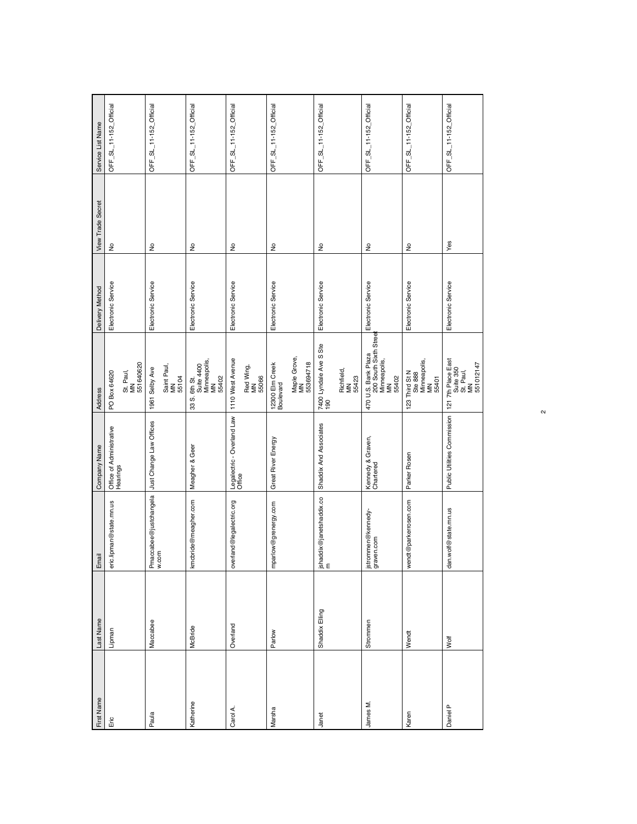| First Name | Last Name      | Email                            | Company Name                                  | <b>Address</b>                                                                                                                 | Delivery Method    | <b>View Trade Secret</b>   | Service List Name      |
|------------|----------------|----------------------------------|-----------------------------------------------|--------------------------------------------------------------------------------------------------------------------------------|--------------------|----------------------------|------------------------|
| Eric       | Lipman         | eric.lipman@state.mn.us          | Office of Administrative<br>Hearings          | 551640620<br>St. Paul,<br>MN<br>PO Box 64620                                                                                   | Electronic Service | $\stackrel{\circ}{\simeq}$ | OFF_SL_11-152_Official |
| Paula      | Maccabee       | Pmaccabee@justchangela<br>w.com  | Just Change Law Offices                       | Saint Paul,<br>MN<br>1961 Selby Ave<br>55104                                                                                   | Electronic Service | ş                          | OFF_SL_11-152_Official |
| Katherine  | McBride        | kmcbride@meagher.com             | Meagher & Geer                                | . 6th St.<br>Suite 4400<br>Minneapolis,<br>MN<br>55402<br>σj<br>ಙ                                                              | Electronic Service | ş                          | OFF_SL_11-152_Official |
| Carol A.   | Overland       | overland@legalectric.org         | Legalectric - Overland Law<br>Office          | 1110 West Avenue<br>Red Wing,<br>MN<br>55066                                                                                   | Electronic Service | $\geq$                     | OFF_SL_11-152_Official |
| Marsha     | Parlow         | mparlow@grenergy.com             | Great River Energy                            | Maple Grove,<br>MN<br>553694718<br>12300 Elm Creek<br>Boulevard                                                                | Electronic Service | $\frac{1}{2}$              | OFF_SL_11-152_Official |
| Janet      | Shaddix Elling | jshaddix@janetshaddix.co<br>m    | Shaddix And Associates                        | 7400 Lyndale Ave S Ste<br>190<br>Richfield,<br>MN<br>55423                                                                     | Electronic Service | $\frac{1}{2}$              | OFF_SL_11-152_Official |
| James M.   | Strommen       | jstrommen@kennedy-<br>graven.com | Kennedy & Graven,<br>Chartered                | $470$ U.S. Bank Plaza<br>200 South Sixth Street<br>Minneapolis,<br>54402                                                       | Electronic Service | $\frac{1}{2}$              | OFF_SL_11-152_Official |
| Karen      | Wendt          | wendt@parkerrosen.com            | Parker Rosen                                  | $\begin{array}{r}\n 3-402 \\  -3402 \\  \end{array}$<br>123 Third St<br>Ste 888<br>Minneapolis,<br>Minneapolis,<br>MN<br>55401 | Electronic Service | Ş                          | OFF_SL_11-152_Official |
| Daniel P   | Wolf           | dan.wolf@state.mn.us             | Public Utilities Commission 1217th Place East | St. Paul,<br>MN<br>551012147                                                                                                   | Electronic Service | Yes                        | OFF_SL_11-152_Official |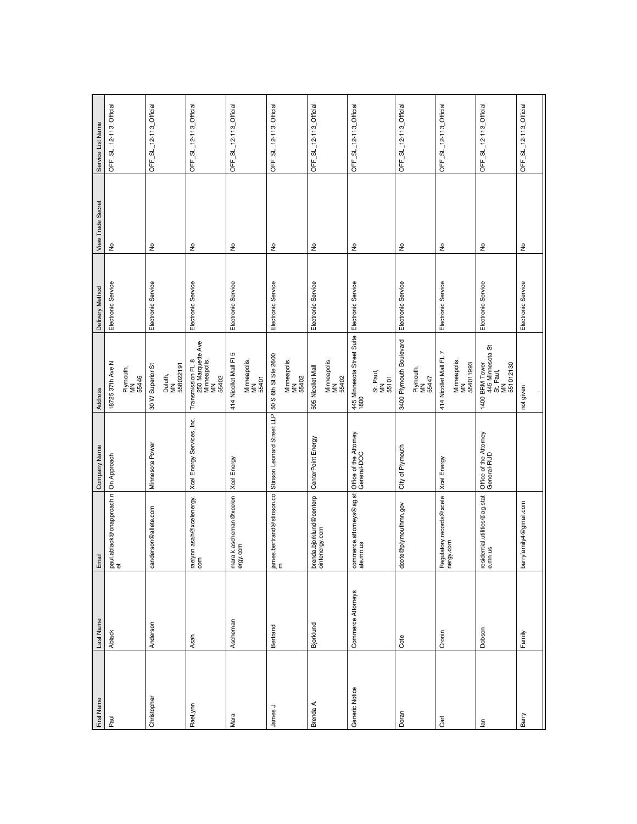| First Name     | Last Name          | Email                                           | Company Name                                                                                                                                   | Address                                                                                                                                                                         | Delivery Method    | <b>View Trade Secret</b>   | Service List Name      |
|----------------|--------------------|-------------------------------------------------|------------------------------------------------------------------------------------------------------------------------------------------------|---------------------------------------------------------------------------------------------------------------------------------------------------------------------------------|--------------------|----------------------------|------------------------|
| Paul           | Ablack             | paul.ablack@onapproach.n<br> et                 | On Approach                                                                                                                                    | 18725 37th Ave N                                                                                                                                                                | Electronic Service | $\epsilon$                 | OFF_SL_12-113_Official |
|                |                    |                                                 |                                                                                                                                                | Plymouth,<br>MN<br>55446                                                                                                                                                        |                    |                            |                        |
| Christopher    | Anderson           | canderson@allete.com                            | Minnesota Power                                                                                                                                | 30 W Superior St                                                                                                                                                                | Electronic Service | ş                          | OFF_SL_12-113_Official |
|                |                    |                                                 |                                                                                                                                                | Duluth,<br>MN<br>558022191                                                                                                                                                      |                    |                            |                        |
| RaeLynn        | Asah               | raelynn.asah@xcelenergy.<br>com                 | Xcel Energy Services, Inc.                                                                                                                     | Transmission FL 8<br>250 Marquette Ave<br>Minneapolis,<br>MN<br>55402                                                                                                           | Electronic Service | ş                          | OFF_SL_12-113_Official |
| Mara           | Ascheman           | ra.k.ascheman@xcelen<br> mara.k.as<br> ergy.com | Xcel Energy                                                                                                                                    | Б<br>414 Nicollet Mall Fl                                                                                                                                                       | Electronic Service | $\geq$                     | OFF_SL_12-113_Official |
|                |                    |                                                 |                                                                                                                                                | Minneapolis,<br>MN<br>55401                                                                                                                                                     |                    |                            |                        |
| James J.       | Bertrand           |                                                 | $\left  \frac{\text{almost}}{\text{cm}} \right $ ames.bertrand@stinson.co $\left  \frac{\text{Stinson Leonard Street LIP}}{\text{cm}} \right $ | 50 S 6th St Ste 2600                                                                                                                                                            | Electronic Service | $\stackrel{\circ}{\simeq}$ | OFF_SL_12-113_Official |
|                |                    |                                                 |                                                                                                                                                | Minneapolis,<br>MN<br>55402                                                                                                                                                     |                    |                            |                        |
| Brenda A.      | Bjorklund          | brenda.bjorklund@centerp<br>ointenergy.com      | CenterPoint Energy                                                                                                                             | 505 Nicollet Mall                                                                                                                                                               | Electronic Service | ş                          | OFF_SL_12-113_Official |
|                |                    |                                                 |                                                                                                                                                | Minneapolis,<br>MN<br>55402                                                                                                                                                     |                    |                            |                        |
| Generic Notice | Commerce Attorneys | commerce.attorneys@ag.st<br>ate.mn.us           | Office of the Attorney<br>General-DOC                                                                                                          | 445 Minnesota Street Suite<br>1800                                                                                                                                              | Electronic Service | ş                          | OFF_SL_12-113_Official |
|                |                    |                                                 |                                                                                                                                                | St. Paul,<br>MN<br>55101                                                                                                                                                        |                    |                            |                        |
| Doran          | Cote               | dcote@plymouthmn.gov                            | City of Plymouth                                                                                                                               | 3400 Plymouth Boulevard                                                                                                                                                         | Electronic Service | ş                          | OFF_SL_12-113_Official |
|                |                    |                                                 |                                                                                                                                                | Plymouth,<br>MN<br>55447                                                                                                                                                        |                    |                            |                        |
| Carl           | Cronin             | Regulatory.records@xcele<br>nergy.com           | Xcel Energy                                                                                                                                    | 414 Nicollet Mall FL 7                                                                                                                                                          | Electronic Service | ş                          | OFF_SL_12-113_Official |
|                |                    |                                                 |                                                                                                                                                | Minneapolis,<br>MN<br>554011993                                                                                                                                                 |                    |                            |                        |
| $\overline{a}$ | Dobson             | residential.utilities@ag.stat<br>e.mn.us        | Office of the Attorney<br>General-RUD                                                                                                          | $\begin{array}{ l } \hline \text{1400 BRM Tower} & \text{ \quad \quad } \\ \hline \text{445 Minnesota St} \\ \text{St. Paul,} \\ \text{MM} & \\\hline \end{array}$<br>551012130 | Electronic Service | ş                          | OFF_SL_12-113_Official |
| Barry          | Family             | barryfamily4@gmail.com                          |                                                                                                                                                | not given                                                                                                                                                                       | Electronic Service | $\frac{\circ}{\sim}$       | OFF_SL_12-113_Official |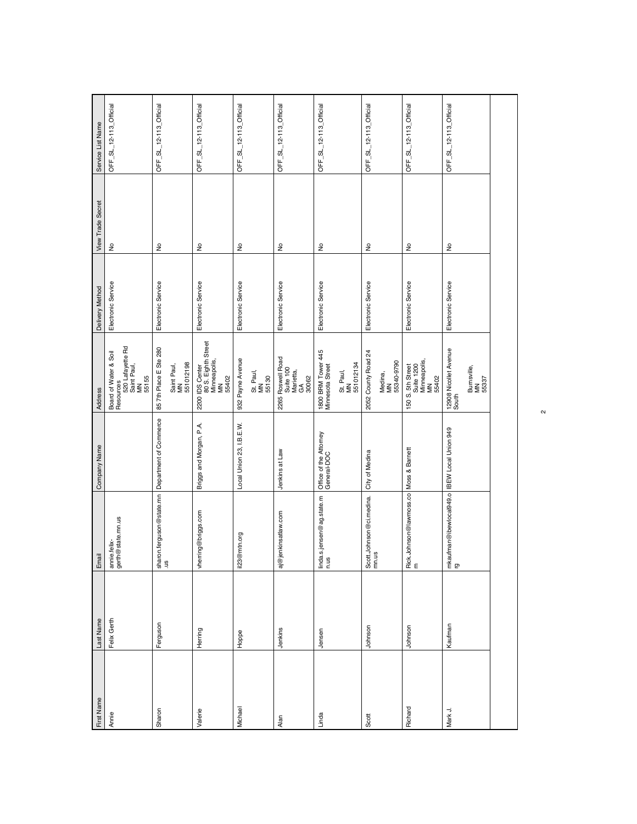| First Name | Last Name   | Email                                             | Company Name                          | Address                                                                              | Delivery Method    | <b>View Trade Secret</b>   | Service List Name      |
|------------|-------------|---------------------------------------------------|---------------------------------------|--------------------------------------------------------------------------------------|--------------------|----------------------------|------------------------|
| Annie      | Felix Gerth | annie.felix-<br>gerth@state.mn.us                 |                                       | Board of Water & Soil<br>Resources<br>520 Lafayette Rd<br>Saint Paul,<br>Maint Faul, | Electronic Service | $\epsilon$                 | OFF_SL_12-113_Official |
| Sharon     | Ferguson    |                                                   |                                       | 85 7th Place E Ste 280<br>Saint Paul,<br>MN<br>551012198                             | Electronic Service | $\frac{\circ}{\mathsf{Z}}$ | OFF_SL_12-113_Official |
| Valerie    | Herring     | vherring@briggs.com                               | Briggs and Morgan, P.A.               | 2200 IDS Center<br>80 S. Eighth Street<br>Minneapolis,<br>MN<br>55402                | Electronic Service | $\hat{z}$                  | OFF_SL_12-113_Official |
| Michael    | Hoppe       | @mtn.org<br>$\overline{123}$                      | Local Union 23, I.B.E.W.              | 932 Payne Avenue<br>St. Paul,<br>MN<br>55130                                         | Electronic Service | ş                          | OFF_SL_12-113_Official |
| Alan       | Jenkins     | aj@jenkinsatlaw.com                               | Jenkins at Law                        | 2265 Roswell Road<br>Suite 100<br>Marietta,<br>GA<br>30062                           | Electronic Service | ş                          | OFF_SL_12-113_Official |
| Linda      | Jensen      | linda.s.jensen@ag.state.m<br>n.us                 | Office of the Attorney<br>General-DOC | 1800 BRM Tower 445<br>Minnesota Street<br>St. Paul,<br>MN<br>551012134               | Electronic Service | $\frac{1}{2}$              | OFF_SL_12-113_Official |
| Scott      | Johnson     | Scott.Johnson@ci.medina.<br>mn.us                 | City of Medina                        | 2052 County Road 24<br>Medina,<br>MN<br>55340-9790                                   | Electronic Service | $\stackrel{\circ}{\simeq}$ | OFF_SL_12-113_Official |
| Richard    | Johnson     | Rick.Johnson@lawmoss.co Moss & Barnett<br>m       |                                       | 150 S. 5th Street<br>Suite 1200<br>Minneapolis,<br>MN<br>55402                       | Electronic Service | ş                          | OFF_SL_12-113_Official |
| Mark J.    | Kaufman     | mkaufman@ibewlocal949.o BEW Local Union 949<br>rg |                                       | 12908 Nicollet Avenue<br>South<br>Burnsville,<br>MN<br>55337                         | Electronic Service | $\stackrel{\circ}{\simeq}$ | OFF_SL_12-113_Official |
|            |             |                                                   |                                       |                                                                                      |                    |                            |                        |

 $\sim$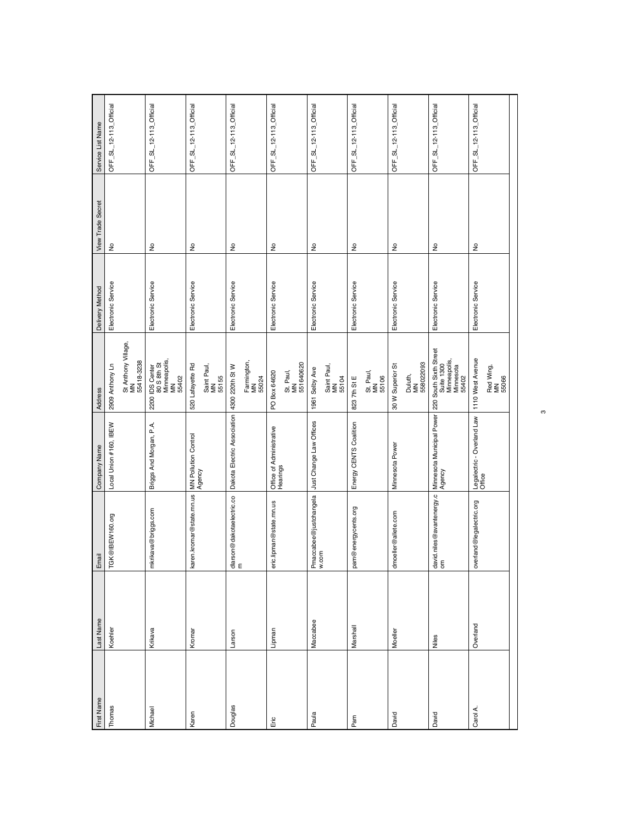| First Name | Last Name | Email                            | Company Name                         | Address                                                                    | Delivery Method    | <b>View Trade Secret</b>   | Service List Name      |
|------------|-----------|----------------------------------|--------------------------------------|----------------------------------------------------------------------------|--------------------|----------------------------|------------------------|
| Thomas     | Koehler   | TGK@IBEW160.org                  | Local Union #160, IBEW               | 2909 Anthony Ln                                                            | Electronic Service | $\epsilon$                 | OFF_SL_12-113_Official |
|            |           |                                  |                                      | St Anthony Village,<br>MN<br>55418-3238                                    |                    |                            |                        |
| Michael    | Krikava   | mkrikava@briggs.com              | Briggs And Morgan, P.A.              | 2200 IDS Center<br>80 S 8th St<br>Minneapolis,<br>MN<br>55402              | Electronic Service | ş                          | OFF_SL_12-113_Official |
| Karen      | Kromar    | karen.kromar@state.mn.us         | MN Pollution Control<br>Agency       | 520 Lafayette Rd<br>Saint Paul,<br>MN<br>55155                             | Electronic Service | $\frac{\circ}{\mathsf{Z}}$ | OFF_SL_12-113_Official |
| Douglas    | Larson    | dlarson@dakotaelectric.co<br>m   | Dakota Electric Association          | Farmington,<br>MN<br>4300 220th St W<br>55024                              | Electronic Service | $\geq$                     | OFF_SL_12-113_Official |
| Eric       | Lipman    | eric.lipman@state.mn.us          | Office of Administrative<br>Hearings | 551640620<br>St. Paul,<br>MN<br>PO Box 64620                               | Electronic Service | ş                          | OFF_SL_12-113_Official |
| Paula      | Maccabee  | Pmaccabee@justchangela<br>w.com  | Just Change Law Offices              | Saint Paul,<br>MN<br>55104<br>1961 Selby Ave                               | Electronic Service | $\frac{1}{2}$              | OFF_SL_12-113_Official |
| Pam        | Marshall  | pam@energycents.org              | Energy CENTS Coalition               | St. Paul,<br>MN<br>55106<br>823 7th St E                                   | Electronic Service | ş                          | OFF_SL_12-113_Official |
| David      | Moeller   | dmoeller@allete.com              | Minnesota Power                      | 558022093<br>30 W Superior St<br>Duluth,<br>MN                             | Electronic Service | Ş                          | OFF_SL_12-113_Official |
| David      | Niles     | david.niles@avantenergy.c<br> om | Minnesota Municipal Power<br>Agency  | 220 South Sixth Street<br>Minneapolis,<br>Minnesota<br>55402<br>Suite 1300 | Electronic Service | $\epsilon$                 | OFF_SL_12-113_Official |
| Carol A.   | Overland  | overland@legalectric.org         | Legalectric - Overland Law<br>Office | 1110 West Avenue<br>Red Wing,<br>MN<br>55066                               | Electronic Service | $\frac{1}{2}$              | OFF_SL_12-113_Official |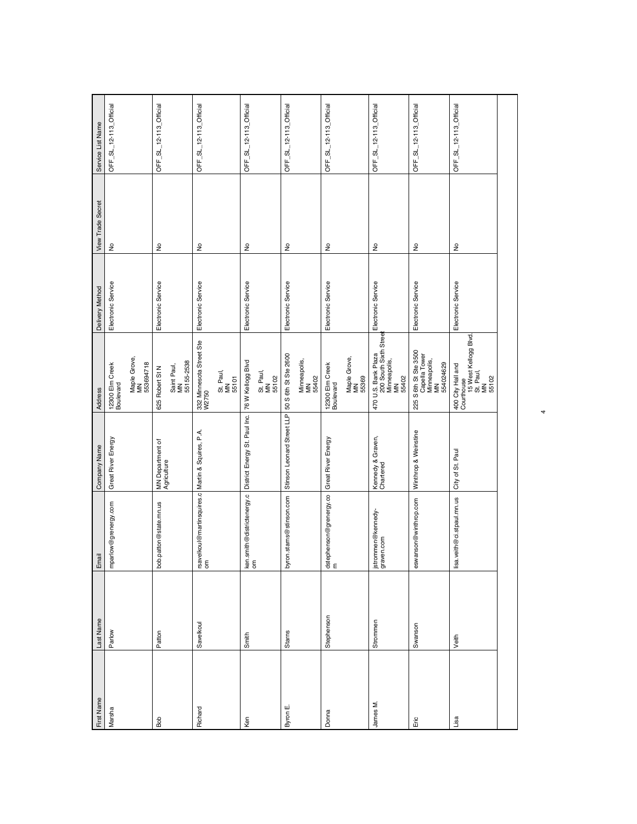| First Name | Last Name  | Email                                                     | Company Name                    | Address                                                                           | Delivery Method    | <b>View Trade Secret</b>   | Service List Name      |
|------------|------------|-----------------------------------------------------------|---------------------------------|-----------------------------------------------------------------------------------|--------------------|----------------------------|------------------------|
| Marsha     | Parlow     | mparlow@grenergy.com                                      | Great River Energy              | 12300 Elm Creek<br>Boulevard                                                      | Electronic Service | $\epsilon$                 | OFF_SL_12-113_Official |
|            |            |                                                           |                                 | Maple Grove,<br>MN<br>553694718                                                   |                    |                            |                        |
| Bob        | Patton     | bob.patton@state.mn.us                                    | MN Department of<br>Agriculture | Saint Paul,<br>MN<br>55155-2538<br>625 Robert St N                                | Electronic Service | $\hat{\mathsf{z}}$         | OFF_SL_12-113_Official |
| Richard    | Savelkoul  | Irsavelkoul@martinsquires.c Martin & Squires, P.A.<br>Iom |                                 | 332 Minnesota Street Ste<br>W2750<br>St. Paul,<br>MN<br>55101                     | Electronic Service | ş                          | OFF_SL_12-113_Official |
| Ken        | Smith      | ken.smith@districtenergy.c<br>om                          | District Energy St. Paul Inc.   | 76 W Kellogg Blvd<br>St. Paul,<br>MN<br>55102                                     | Electronic Service | $\geq$                     | OFF_SL_12-113_Official |
| Byron E.   | Starns     | byron.starns@stinson.com                                  | Stinson Leonard Street LLP      | 50 S 6th St Ste 2600<br>Minneapolis,<br>MN<br>55402                               | Electronic Service | $\frac{\circ}{\sim}$       | OFF_SL_12-113_Official |
| Donna      | Stephenson | dstephenson@grenergy.co<br>m                              | Great River Energy              | Maple Grove,<br>MN<br>55369<br>12300 Elm Creek<br>Boulevard                       | Electronic Service | $\stackrel{\circ}{\simeq}$ | OFF_SL_12-113_Official |
| James M.   | Strommen   | jstrommen@kennedy-<br>graven.com                          | Kennedy & Graven,<br>Chartered  | 470 U.S. Bank Plaza<br>200 South Sixth Street<br>Minneapolis,<br>55402            | Electronic Service | $\frac{\circ}{\mathsf{Z}}$ | OFF_SL_12-113_Official |
| Eric       | Swanson    | eswanson@winthrop.com                                     | Winthrop & Weinstine            | 225 S 6th St Ste 3500<br>Capella Tower<br>Minneapolis,<br>MN<br>554024629         | Electronic Service | $\geq$                     | OFF_SL_12-113_Official |
| Lisa       | Veith      | veith@ci.stpaul.mn.us<br>lisa                             | City of St. Paul                | 400 City Hall and<br>Courthouse<br>15 West Kellogg Blvd.<br>Ni, Paul,<br>Mi S5102 | Electronic Service | $\frac{\circ}{\mathsf{Z}}$ | OFF_SL_12-113_Official |
|            |            |                                                           |                                 |                                                                                   |                    |                            |                        |

4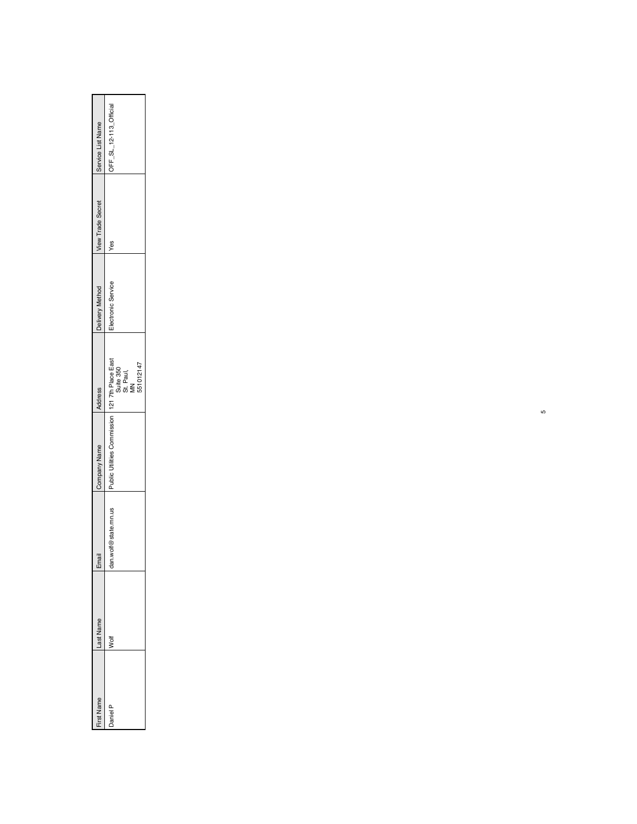| <b>Irst Name</b> | Last Name | Email                  | <b>Sompany Name</b>                            | Address                | Delivery Method   | View Trade Secret | Service List Name      |
|------------------|-----------|------------------------|------------------------------------------------|------------------------|-------------------|-------------------|------------------------|
| aniel            | ţ         | wolf@state.mn.us<br>రే | olic Utilities Commission   121 7th Place East | Suite 350<br>St. Paul, | lectronic Service | yes               | OFF_SL_12-113_Official |
|                  |           |                        |                                                | 551012147              |                   |                   |                        |

ഗ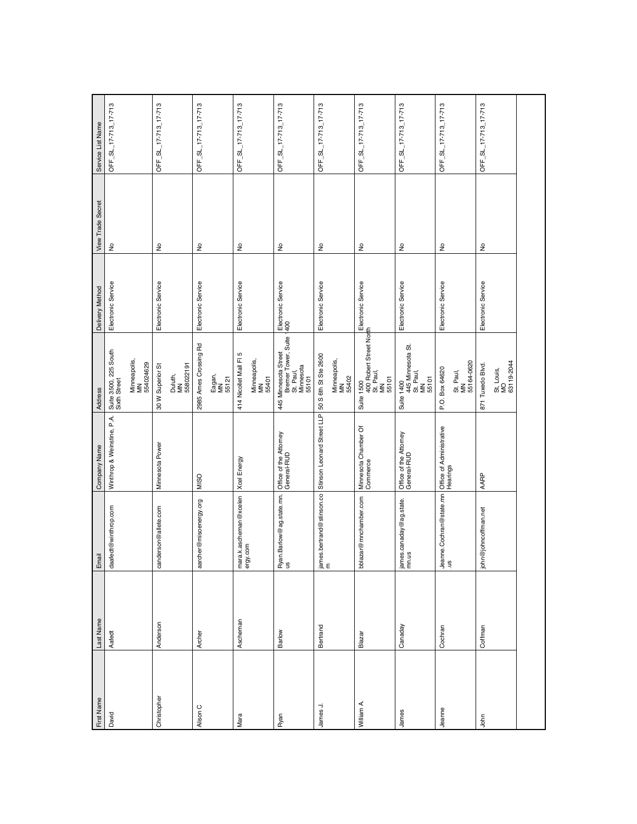| First Name  | Last Name | Email                                                       | Company Name                          | Address                                                                    | Delivery Method    | <b>View Trade Secret</b> | Service List Name    |
|-------------|-----------|-------------------------------------------------------------|---------------------------------------|----------------------------------------------------------------------------|--------------------|--------------------------|----------------------|
| David       | Aafedt    | daafedt@winthrop.com                                        | Winthrop & Weinstine, P.A.            | Suite 3500, 225 South<br>Sixth Street                                      | Electronic Service | $\frac{1}{2}$            | OFF_SL_17-713_17-713 |
|             |           |                                                             |                                       | Minneapolis,<br>MN<br>554024629                                            |                    |                          |                      |
| Christopher | Anderson  | canderson@allete.com                                        | Minnesota Power                       | 30 W Superior St                                                           | Electronic Service | ş                        | OFF_SL_17-713_17-713 |
|             |           |                                                             |                                       | Duluth,<br>MN<br>558022191                                                 |                    |                          |                      |
| Alison C    | Archer    | aarcher@misoenergy.org                                      | MISO                                  | 2985 Ames Crossing Rd                                                      | Electronic Service | $\hat{\mathsf{z}}$       | OFF_SL_17-713_17-713 |
|             |           |                                                             |                                       | Eagan,<br>MN<br>55121                                                      |                    |                          |                      |
| Mara        | Ascheman  | mara.k.ascheman@xcelen<br>ergy.com                          | Xoel Energy                           | 414 Nicollet Mall FI 5                                                     | Electronic Service | ş                        | OFF_SL_17-713_17-713 |
|             |           |                                                             |                                       | Minneapolis,<br>MN<br>55401                                                |                    |                          |                      |
| Ryan        | Barlow    | Ryan.Barlow@ag.state.mn.<br>us                              | Office of the Attorney<br>General-RUD | 445 Minnesota Street<br>Bremer Tower, Suite 1400<br>St. Paul,<br>Stronsota |                    | ş                        | OFF_SL_17-713_17-713 |
| James J.    | Bertrand  | james.bertrand@stinson.co Stinson Leonard Street LLP n<br>m |                                       | 50 S 6th St Ste 2600                                                       | Electronic Service | ş                        | OFF_SL_17-713_17-713 |
|             |           |                                                             |                                       | Minneapolis,<br>MN<br>55402                                                |                    |                          |                      |
| William A.  | Blazar    | bblazar@mnchamber.com                                       | Minnesota Chamber Of<br>Commerce      | Suite 1500<br>400 Robert Street North<br>M. Paul,<br>55101                 |                    | ş                        | OFF_SL_17-713_17-713 |
| James       | Canaday   | james.canaday@ag.state.<br>mn.us                            | Office of the Attorney<br>General-RUD | Suite 1400<br>445 Minnesota St.<br>St. Paul,<br>MN<br>55101                | Electronic Service | $\geq$                   | OFF_SL_17-713_17-713 |
| Jeanne      | Cochran   | Jeanne.Cochran@state.mn                                     | Office of Administrative<br>Hearings  | 55164-0620<br>P.O. Box 64620<br>St. Paul,<br>MN                            | Electronic Service | ş                        | OFF_SL_17-713_17-713 |
| John        | Coffman   | john@johncoffman.net                                        | AARP                                  | 871 Tuxedo Blvd.                                                           | Electronic Service | ş                        | OFF_SL_17-713_17-713 |
|             |           |                                                             |                                       | St, Louis,<br>MO<br>63119-2044                                             |                    |                          |                      |
|             |           |                                                             |                                       |                                                                            |                    |                          |                      |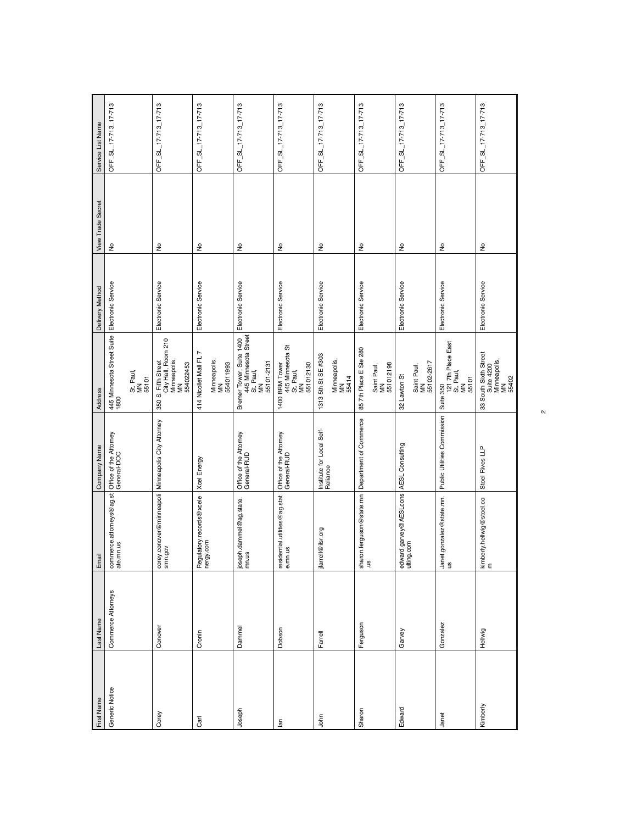| First Name              | Last Name          | Email                                                           | Company Name                          | Address                                                                                                                                                        | Delivery Method    | <b>View Trade Secret</b> | Service List Name    |
|-------------------------|--------------------|-----------------------------------------------------------------|---------------------------------------|----------------------------------------------------------------------------------------------------------------------------------------------------------------|--------------------|--------------------------|----------------------|
| Generic Notice          | Commerce Attorneys | commerce.attorneys@ag.st<br>ate.mn.us                           | Office of the Attorney<br>General-DOC | 445 Minnesota Street Suite<br>1800                                                                                                                             | Electronic Service | $\epsilon$               | OFF_SL_17-713_17-713 |
|                         |                    |                                                                 |                                       | St. Paul,<br>MN<br>55101                                                                                                                                       |                    |                          |                      |
| Corey                   | Conover            | corey.conover@minneapoli   Minneapolis City Attorney<br>smn.gov |                                       | City Hall, Room 210<br>Minneapolis,<br>MN<br>350 S. Fifth Street<br>554022453                                                                                  | Electronic Service | $\frac{\circ}{\sim}$     | OFF_SL_17-713_17-713 |
| Carl                    | Cronin             | Regulatory.records@xcele<br>nergy.com                           | Xcel Energy                           | N<br>414 Nicollet Mall FL<br>Minneapolis,<br>MN<br>554011993                                                                                                   | Electronic Service | ş                        | OFF_SL_17-713_17-713 |
| Joseph                  | Dammel             | joseph.dammel@ag.state.<br>mn.us                                | Office of the Attorney<br>General-RUD | Bremer Tower, Suite 1400<br>445 Minnesota Street<br>St. Paul,<br>MN<br>55101-2131                                                                              | Electronic Service | ş                        | OFF_SL_17-713_17-713 |
| $\overline{\mathbf{a}}$ | Dobson             | residential.utilities@ag.stat<br>e.mn.us                        | Office of the Attorney<br>General-RUD | $\begin{array}{ c } \hline \text{1400 BRM Tower} & \text{--} \\ \hline \text{445 Mimess} \\ \text{St. Paul,} \\ \text{MM} & \\\hline \end{array}$<br>551012130 | Electronic Service | ş                        | OFF_SL_17-713_17-713 |
| John                    | Farrell            | jfarrell@ilsr.org                                               | Institute for Local Self-<br>Reliance | 1313 5th St SE #303<br>Minneapolis,<br>MN<br>55414                                                                                                             | Electronic Service | ş                        | OFF_SL_17-713_17-713 |
| Sharon                  | Ferguson           |                                                                 |                                       | 85 7th Place E Ste 280<br>551012198<br>Saint Paul,<br>MN                                                                                                       | Electronic Service | ş                        | OFF_SL_17-713_17-713 |
| Edward                  | Garvey             | edward.garvey@AESLcons AESL Consulting<br>ulting.com            |                                       | Saint Paul,<br>MN<br>55102-2617<br>32 Lawton St                                                                                                                | Electronic Service | ş                        | OFF_SL_17-713_17-713 |
| Janet                   | Gonzalez           | Janet.gonzalez@state.mn.<br>us                                  | Public Utilities Commission Suite 350 | 121 7th Place East<br>St. Paul,<br>MN<br>55101                                                                                                                 | Electronic Service | ş                        | OFF_SL_17-713_17-713 |
| Kimberly                | Hellwig            | kimberly.hellwig@stoel.co<br>m                                  | Stoel Rives LLP                       | 33 South Sixth Street<br>Suite 4200<br>Minneapolis,<br>MN<br>55402                                                                                             | Electronic Service | $\frac{1}{2}$            | OFF_SL_17-713_17-713 |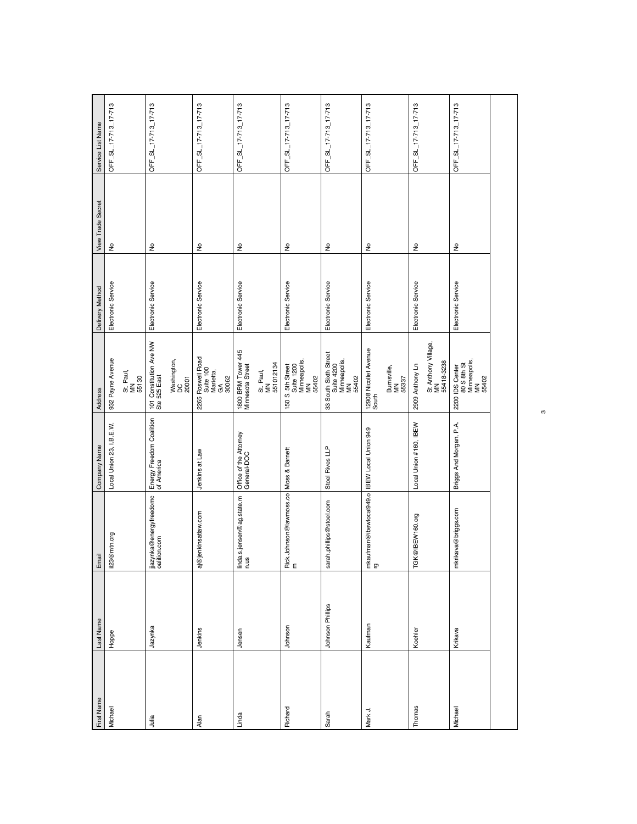| First Name | Last Name        | Email                                             | Company Name                           | Address                                                            | Delivery Method    | <b>View Trade Secret</b>   | Service List Name    |
|------------|------------------|---------------------------------------------------|----------------------------------------|--------------------------------------------------------------------|--------------------|----------------------------|----------------------|
| Michael    | Hope             | il23@mtn.org                                      | Local Union 23, I.B.E.W.               | 932 Payne Avenue                                                   | Electronic Service | $\epsilon$                 | OFF_SL_17-713_17-713 |
|            |                  |                                                   |                                        | St. Paul,<br>MN<br>55130                                           |                    |                            |                      |
| Julia      | Jazynka          | jjazynka@energyfreedomc<br>oalition.com           | Energy Freedom Coalition<br>of America | 101 Constitution Ave NW<br>Ste 525 East                            | Electronic Service | $\epsilon$                 | OFF_SL_17-713_17-713 |
|            |                  |                                                   |                                        | Washington,<br>DC<br>20001                                         |                    |                            |                      |
| Alan       | Jenkins          | jenkinsatlaw.com<br>ි<br>බ                        | Jenkins at Law                         | 2265 Roswell Road<br>Suite 100<br>Marietta,<br>GA<br>30062         | Electronic Service | $\epsilon$                 | OFF_SL_17-713_17-713 |
| Linda      | Jensen           | linda.s.jensen@ag.state.m<br>n.us                 | Office of the Attorney<br>General-DOC  | 1800 BRM Tower 445<br>Minnesota Street                             | Electronic Service | $\frac{1}{2}$              | OFF_SL_17-713_17-713 |
|            |                  |                                                   |                                        | St. Paul,<br>MN<br>551012134                                       |                    |                            |                      |
| Richard    | Johnson          | Rick.Johnson@lawmoss.co Moss & Barnett            |                                        | 150 S. 5th Street<br>Suite 1200<br>Minneapolis,<br>MN<br>55402     | Electronic Service | $\frac{1}{2}$              | OFF_SL_17-713_17-713 |
| Sarah      | Johnson Phillips | sarah.phillips@stoel.com                          | Stoel Rives LLP                        | 33 South Sixth Street<br>Suite 4200<br>Minneapolis,<br>MN<br>55402 | Electronic Service | $\frac{1}{2}$              | OFF_SL_17-713_17-713 |
| Mark J.    | Kaufman          | mkaufman@ibewlocal949.o BEW Local Union 949<br>rg |                                        | 12908 Nicollet Avenue<br>South<br>Burnsville,<br>MN<br>55337       | Electronic Service | $\stackrel{\circ}{\simeq}$ | OFF_SL_17-713_17-713 |
| Thomas     | Koehler          | TGK@IBEW160.org                                   | Local Union #160, IBEW                 | St Anthony Village,<br>MN<br>55418-3238<br>2909 Anthony Ln         | Electronic Service | $\geq$                     | OFF_SL_17-713_17-713 |
| Michael    | Krikava          | mkrikava@briggs.com                               | Briggs And Morgan, P.A.                | 2200 IDS Center<br>80 S 8th St<br>Minneapolis,<br>MN<br>55402      | Electronic Service | ş                          | OFF_SL_17-713_17-713 |
|            |                  |                                                   |                                        |                                                                    |                    |                            |                      |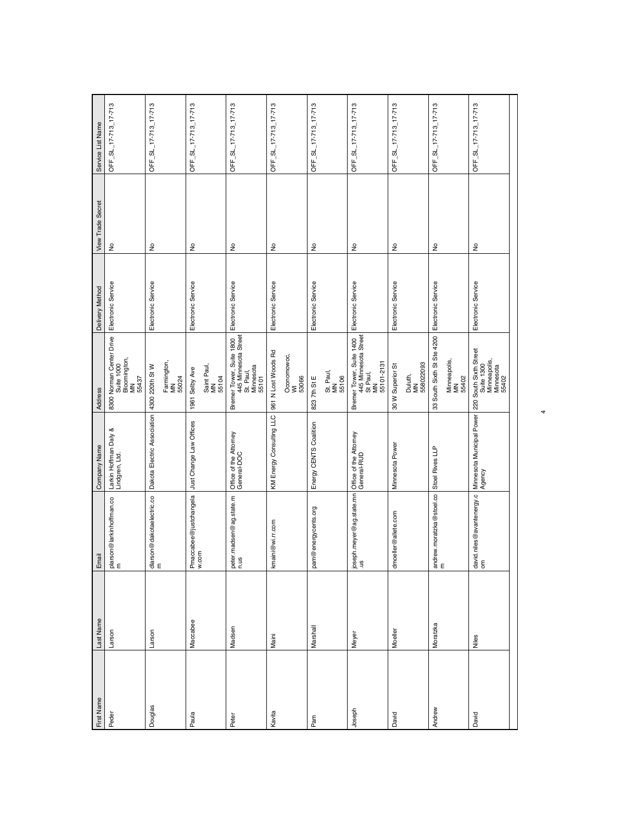| First Name | Last Name | Email                                                                      | Company Name                                                        | <b>Address</b>                                                                      | Delivery Method    | <b>View Trade Secret</b>   | Service List Name    |
|------------|-----------|----------------------------------------------------------------------------|---------------------------------------------------------------------|-------------------------------------------------------------------------------------|--------------------|----------------------------|----------------------|
| Peder      | Larson    | plarson@larkinhoffman.co<br>m                                              | Larkin Hoffman Daly &<br>Lindgren, Ltd.                             | 8300 Norman Center Drive<br>Suite 1000<br>Bloomington,<br>MN<br>55437               | Electronic Service | $\epsilon$                 | OFF_SL_17-713_17-713 |
| Douglas    | Larson    | dlarson@dakotaelectric.co<br>m                                             | Dakota Electric Association                                         | Farmington,<br>MN<br>55024<br>4300 220th St W                                       | Electronic Service | $\frac{1}{2}$              | OFF_SL_17-713_17-713 |
| Paula      | Maccabee  | Pmaccabee@justchangela<br>w.com                                            | Just Change Law Offices                                             | Saint Paul,<br>MN<br>55104<br>1961 Selby Ave                                        | Electronic Service | $\frac{\circ}{\mathsf{Z}}$ | OFF_SL_17-713_17-713 |
| Peter      | Madsen    | peter.madsen@ag.state.m<br>n.us                                            | Office of the Attorney<br>General-DOC                               | Bremer Tower, Suite 1800<br>445 Minnesota Street<br>St. Paul,<br>Minnesota<br>55101 | Electronic Service | $\frac{\circ}{\sim}$       | OFF_SL_17-713_17-713 |
| Kavita     | Maini     | kmaini@wi.rr.com                                                           | KM Energy Consulting LLC                                            | 961 N Lost Woods Rd<br>Oconomowoc,<br>WI<br>53066                                   | Electronic Service | $\frac{1}{2}$              | OFF_SL_17-713_17-713 |
| Pam        | Marshall  | pam@energycents.org                                                        | Energy CENTS Coalition                                              | St. Paul,<br>MN<br>55106<br>823 7th St E                                            | Electronic Service | ş                          | OFF_SL_17-713_17-713 |
| Joseph     | Meyer     |                                                                            |                                                                     | Bremer Tower, Suite 1400<br>445 Minnesota Street<br>55101-2131<br>St Paul,<br>MN    | Electronic Service | $\epsilon$                 | OFF_SL_17-713_17-713 |
| David      | Moeller   | dmoeller@allete.com                                                        | Minnesota Power                                                     | 558022093<br>30 W Superior St<br>Duluth,<br>MN                                      | Electronic Service | Ş                          | OFF_SL_17-713_17-713 |
| Andrew     | Moratzka  | $\begin{bmatrix} \text{andrew.moratzka@stoel.co} \ \text{m} \end{bmatrix}$ | Stoel Rives LLP                                                     | 33 South Sixth St Ste 4200<br>Minneapolis,<br>MN<br>55402                           | Electronic Service | ş                          | OFF_SL_17-713_17-713 |
| David      | Niles     | david.niles@avantenergy.c<br>Iom                                           | <br> Minnesota Municipal Power   220 South Sixth Street<br>  Agency | Suite 1300<br>Minneapolis,<br>Minnesota<br>55402                                    | Electronic Service | $\frac{1}{2}$              | OFF_SL_17-713_17-713 |
|            |           |                                                                            |                                                                     |                                                                                     |                    |                            |                      |

4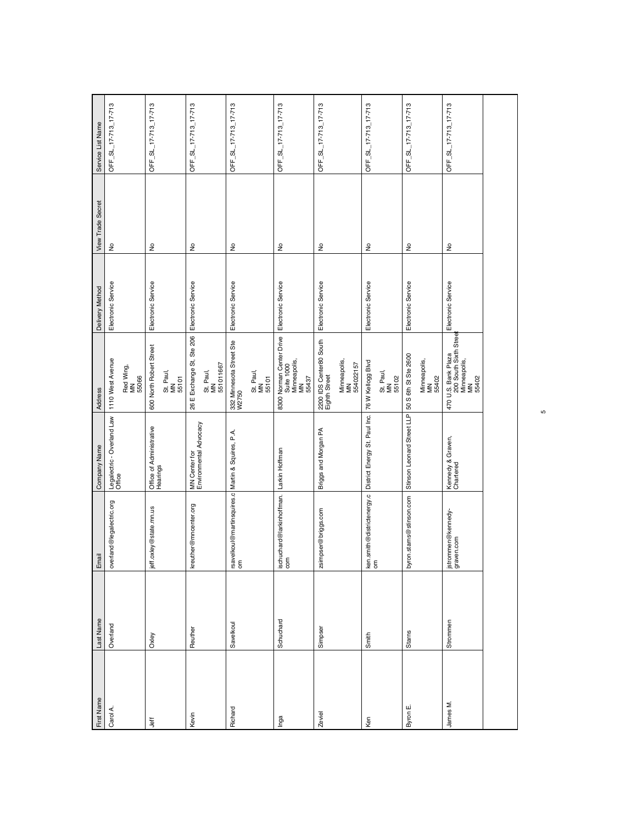| First Name | Last Name | Email                                                     | Company Name                            | Address                                                                  | Delivery Method    | <b>View Trade Secret</b>   | Service List Name    |
|------------|-----------|-----------------------------------------------------------|-----------------------------------------|--------------------------------------------------------------------------|--------------------|----------------------------|----------------------|
| Carol A.   | Overland  | overland@legalectric.org                                  | Legalectric - Overland Law<br>Office    | 1110 West Avenue                                                         | Electronic Service | $\epsilon$                 | OFF_SL_17-713_17-713 |
|            |           |                                                           |                                         | Red Wing,<br>MN<br>55066                                                 |                    |                            |                      |
| Jeff       | Oxley     | jeff.oxley@state.mn.us                                    | Office of Administrative<br>Hearings    | 600 North Robert Street                                                  | Electronic Service | $\frac{\circ}{\mathsf{Z}}$ | OFF_SL_17-713_17-713 |
|            |           |                                                           |                                         | St. Paul,<br>MN<br>55101                                                 |                    |                            |                      |
| Kevin      | Reuther   | kreuther@mncenter.org                                     | MN Center for<br>Environmental Advocacy | 26 E Exchange St, Ste 206 Electronic Service                             |                    | $\stackrel{\circ}{\simeq}$ | OFF_SL_17-713_17-713 |
|            |           |                                                           |                                         | St. Paul,<br>MN<br>551011667                                             |                    |                            |                      |
| Richard    | Savelkoul | Irsavelkoul@martinsquires.c Martin & Squires, P.A.<br>Iom |                                         | 332 Minnesota Street Ste<br>W2750                                        | Electronic Service | ş                          | OFF_SL_17-713_17-713 |
|            |           |                                                           |                                         | St. Paul,<br>MN<br>55101                                                 |                    |                            |                      |
| Inga       | Schuchard | ischuchard@larkinhoffman. Larkin Hoffman<br>com           |                                         | 8300 Norman Center Drive<br>  Suite 1000<br>  Minneapolis,<br>  S5437    | Electronic Service | ş                          | OFF_SL_17-713_17-713 |
| Zeviel     | Simpser   | zsimpser@briggs.com                                       | Briggs and Morgan PA                    | 2200 IDS Center80 South<br>Eighth Street                                 | Electronic Service | $\frac{1}{2}$              | OFF_SL_17-713_17-713 |
|            |           |                                                           |                                         | Minneapolis,<br>MN<br>554022157                                          |                    |                            |                      |
| Ken        | Smith     | ken.smith@districtenergy.c<br>om                          | District Energy St. Paul Inc.           | 76 W Kellogg Blvd                                                        | Electronic Service | $\stackrel{\circ}{\simeq}$ | OFF_SL_17-713_17-713 |
|            |           |                                                           |                                         | St. Paul,<br>MN<br>55102                                                 |                    |                            |                      |
| Byron E.   | Starns    | byron.starns@stinson.com                                  | Stinson Leonard Street LLP              | 50 S 6th St Ste 2600                                                     | Electronic Service | $\frac{\circ}{\sim}$       | OFF_SL_17-713_17-713 |
|            |           |                                                           |                                         | Minneapolis,<br>MN<br>55402                                              |                    |                            |                      |
| James M.   | Strommen  | jstrommen@kennedy-<br>graven.com                          | Kennedy & Graven,<br>Chartered          | $470$ U.S. Bank Plaza<br>200 South Sixth Street<br>Minneapolis,<br>55402 | Electronic Service | $\stackrel{\circ}{\simeq}$ | OFF_SL_17-713_17-713 |
|            |           |                                                           |                                         |                                                                          |                    |                            |                      |